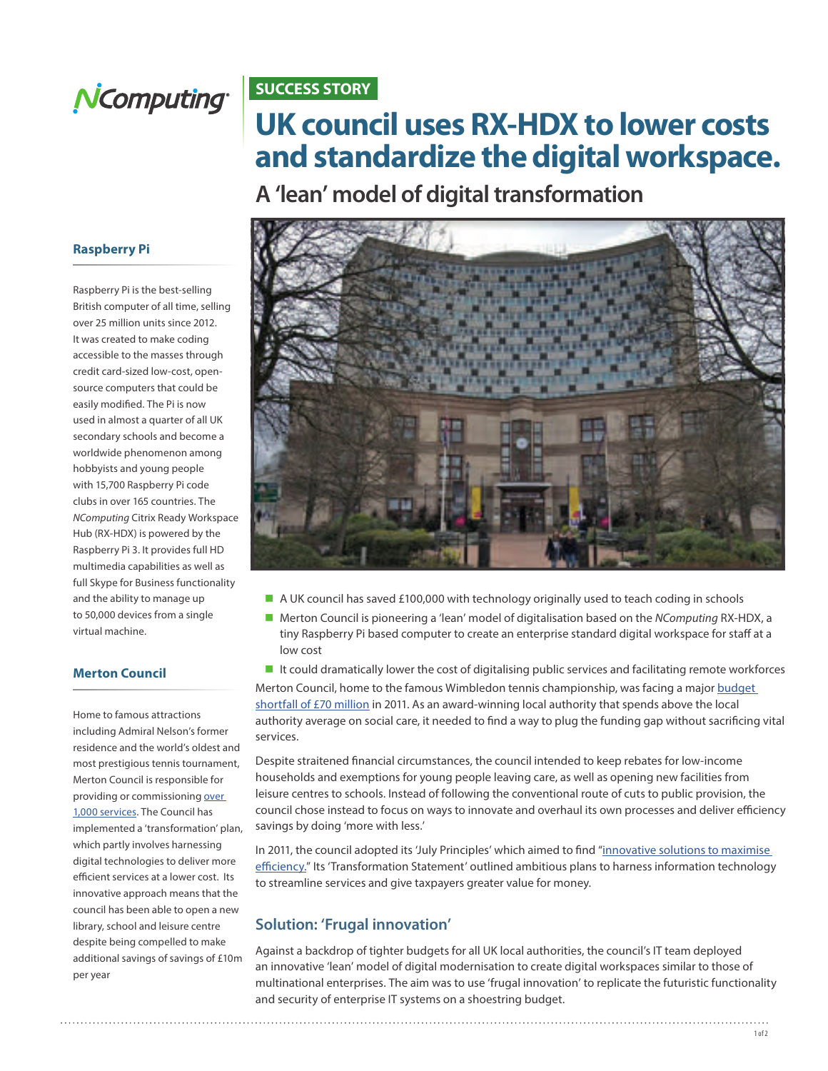

### **SUCCESS STORY**

# **UK council uses RX-HDX to lower costs and standardize the digital workspace.**

**A 'lean' model of digital transformation** 

#### **Raspberry Pi**

Raspberry Pi is the best-selling British computer of all time, selling over 25 million units since 2012. It was created to make coding accessible to the masses through credit card-sized low-cost, opensource computers that could be easily modified. The Pi is now used in almost a quarter of all UK secondary schools and become a worldwide phenomenon among hobbyists and young people with 15,700 Raspberry Pi code clubs in over 165 countries. The *NComputing* Citrix Ready Workspace Hub (RX-HDX) is powered by the Raspberry Pi 3. It provides full HD multimedia capabilities as well as full Skype for Business functionality and the ability to manage up to 50,000 devices from a single virtual machine.

#### **Merton Council**

Home to famous attractions including Admiral Nelson's former residence and the world's oldest and most prestigious tennis tournament, Merton Council is responsible for providing or commissioning over [1,000 services](https://www.merton.gov.uk/council-and-local-democracy/council-departments-and-management). The Council has implemented a 'transformation' plan, which partly involves harnessing digital technologies to deliver more efficient services at a lower cost. Its innovative approach means that the council has been able to open a new library, school and leisure centre despite being compelled to make additional savings of savings of £10m per year



- A UK council has saved £100,000 with technology originally used to teach coding in schools
- Merton Council is pioneering a 'lean' model of digitalisation based on the *NComputing* RX-HDX, a tiny Raspberry Pi based computer to create an enterprise standard digital workspace for staff at a low cost

It could dramatically lower the cost of digitalising public services and facilitating remote workforces

Merton Council, home to the famous Wimbledon tennis championship, was facing a major budget [shortfall of £70 million](https://www.merton.gov.uk/assets/Documents/Merton2020Morden.pdf) in 2011. As an award-winning local authority that spends above the local authority average on social care, it needed to find a way to plug the funding gap without sacrificing vital services.

Despite straitened financial circumstances, the council intended to keep rebates for low-income households and exemptions for young people leaving care, as well as opening new facilities from leisure centres to schools. Instead of following the conventional route of cuts to public provision, the council chose instead to focus on ways to innovate and overhaul its own processes and deliver efficiency savings by doing 'more with less.'

In 2011, the council adopted its 'July Principles' which aimed to find "innovative solutions to maximise effi[ciency."](https://www2.merton.gov.uk/merton_efficiency_plan_2016_-2020_v2.pdf) Its 'Transformation Statement' outlined ambitious plans to harness information technology to streamline services and give taxpayers greater value for money.

#### **Solution: 'Frugal innovation'**

Against a backdrop of tighter budgets for all UK local authorities, the council's IT team deployed an innovative 'lean' model of digital modernisation to create digital workspaces similar to those of multinational enterprises. The aim was to use 'frugal innovation' to replicate the futuristic functionality and security of enterprise IT systems on a shoestring budget.

. . . . . 1 of 2